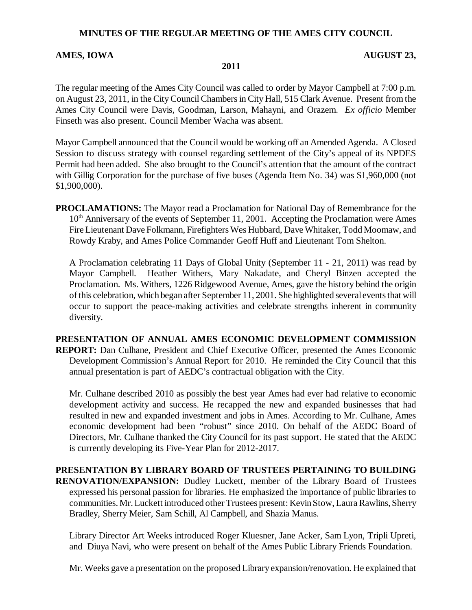#### **MINUTES OF THE REGULAR MEETING OF THE AMES CITY COUNCIL**

#### AMES, IOWA **AUGUST 23,**

#### **2011**

The regular meeting of the Ames City Council was called to order by Mayor Campbell at 7:00 p.m. on August 23, 2011, in the City Council Chambers in City Hall, 515 Clark Avenue. Present from the Ames City Council were Davis, Goodman, Larson, Mahayni, and Orazem. *Ex officio* Member Finseth was also present. Council Member Wacha was absent.

Mayor Campbell announced that the Council would be working off an Amended Agenda. A Closed Session to discuss strategy with counsel regarding settlement of the City's appeal of its NPDES Permit had been added. She also brought to the Council's attention that the amount of the contract with Gillig Corporation for the purchase of five buses (Agenda Item No. 34) was \$1,960,000 (not \$1,900,000).

**PROCLAMATIONS:** The Mayor read a Proclamation for National Day of Remembrance for the  $10<sup>th</sup>$  Anniversary of the events of September 11, 2001. Accepting the Proclamation were Ames Fire Lieutenant Dave Folkmann, Firefighters Wes Hubbard, Dave Whitaker, Todd Moomaw, and Rowdy Kraby, and Ames Police Commander Geoff Huff and Lieutenant Tom Shelton.

A Proclamation celebrating 11 Days of Global Unity (September 11 - 21, 2011) was read by Mayor Campbell. Heather Withers, Mary Nakadate, and Cheryl Binzen accepted the Proclamation. Ms. Withers, 1226 Ridgewood Avenue, Ames, gave the history behind the origin of this celebration, which began after September 11, 2001. She highlighted several events that will occur to support the peace-making activities and celebrate strengths inherent in community diversity.

**PRESENTATION OF ANNUAL AMES ECONOMIC DEVELOPMENT COMMISSION REPORT:** Dan Culhane, President and Chief Executive Officer, presented the Ames Economic Development Commission's Annual Report for 2010. He reminded the City Council that this annual presentation is part of AEDC's contractual obligation with the City.

Mr. Culhane described 2010 as possibly the best year Ames had ever had relative to economic development activity and success. He recapped the new and expanded businesses that had resulted in new and expanded investment and jobs in Ames. According to Mr. Culhane, Ames economic development had been "robust" since 2010. On behalf of the AEDC Board of Directors, Mr. Culhane thanked the City Council for its past support. He stated that the AEDC is currently developing its Five-Year Plan for 2012-2017.

## **PRESENTATION BY LIBRARY BOARD OF TRUSTEES PERTAINING TO BUILDING RENOVATION/EXPANSION:** Dudley Luckett, member of the Library Board of Trustees expressed his personal passion for libraries. He emphasized the importance of public libraries to communities. Mr. Luckett introduced other Trustees present: Kevin Stow, Laura Rawlins, Sherry Bradley, Sherry Meier, Sam Schill, Al Campbell, and Shazia Manus.

Library Director Art Weeks introduced Roger Kluesner, Jane Acker, Sam Lyon, Tripli Upreti, and Diuya Navi, who were present on behalf of the Ames Public Library Friends Foundation.

Mr. Weeks gave a presentation on the proposed Library expansion/renovation. He explained that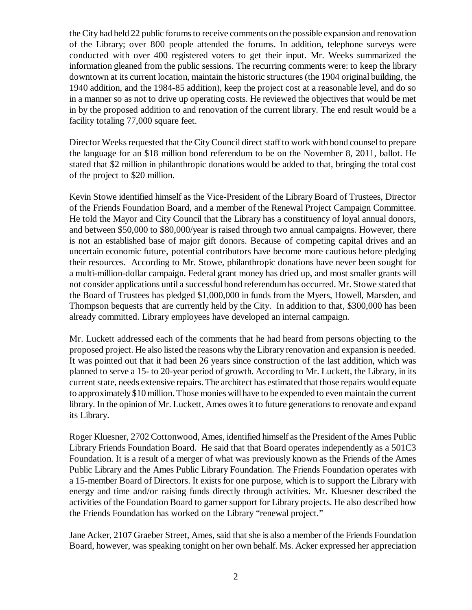the City had held 22 public forums to receive comments on the possible expansion and renovation of the Library; over 800 people attended the forums. In addition, telephone surveys were conducted with over 400 registered voters to get their input. Mr. Weeks summarized the information gleaned from the public sessions. The recurring comments were: to keep the library downtown at its current location, maintain the historic structures (the 1904 original building, the 1940 addition, and the 1984-85 addition), keep the project cost at a reasonable level, and do so in a manner so as not to drive up operating costs. He reviewed the objectives that would be met in by the proposed addition to and renovation of the current library. The end result would be a facility totaling 77,000 square feet.

Director Weeks requested that the City Council direct staff to work with bond counsel to prepare the language for an \$18 million bond referendum to be on the November 8, 2011, ballot. He stated that \$2 million in philanthropic donations would be added to that, bringing the total cost of the project to \$20 million.

Kevin Stowe identified himself as the Vice-President of the Library Board of Trustees, Director of the Friends Foundation Board, and a member of the Renewal Project Campaign Committee. He told the Mayor and City Council that the Library has a constituency of loyal annual donors, and between \$50,000 to \$80,000/year is raised through two annual campaigns. However, there is not an established base of major gift donors. Because of competing capital drives and an uncertain economic future, potential contributors have become more cautious before pledging their resources. According to Mr. Stowe, philanthropic donations have never been sought for a multi-million-dollar campaign. Federal grant money has dried up, and most smaller grants will not consider applications until a successful bond referendum has occurred. Mr. Stowe stated that the Board of Trustees has pledged \$1,000,000 in funds from the Myers, Howell, Marsden, and Thompson bequests that are currently held by the City. In addition to that, \$300,000 has been already committed. Library employees have developed an internal campaign.

Mr. Luckett addressed each of the comments that he had heard from persons objecting to the proposed project. He also listed the reasons why the Library renovation and expansion is needed. It was pointed out that it had been 26 years since construction of the last addition, which was planned to serve a 15- to 20-year period of growth. According to Mr. Luckett, the Library, in its current state, needs extensive repairs. The architect has estimated that those repairs would equate to approximately \$10 million. Those monies will have to be expended to even maintain the current library. In the opinion of Mr. Luckett, Ames owes it to future generations to renovate and expand its Library.

Roger Kluesner, 2702 Cottonwood, Ames, identified himself as the President of the Ames Public Library Friends Foundation Board. He said that that Board operates independently as a 501C3 Foundation. It is a result of a merger of what was previously known as the Friends of the Ames Public Library and the Ames Public Library Foundation. The Friends Foundation operates with a 15-member Board of Directors. It exists for one purpose, which is to support the Library with energy and time and/or raising funds directly through activities. Mr. Kluesner described the activities of the Foundation Board to garner support for Library projects. He also described how the Friends Foundation has worked on the Library "renewal project."

Jane Acker, 2107 Graeber Street, Ames, said that she is also a member of the Friends Foundation Board, however, was speaking tonight on her own behalf. Ms. Acker expressed her appreciation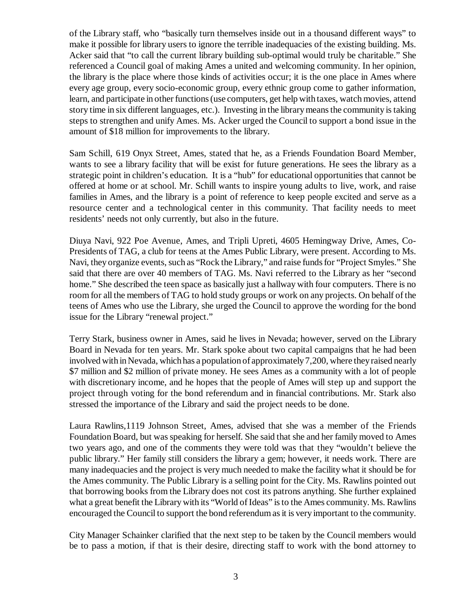of the Library staff, who "basically turn themselves inside out in a thousand different ways" to make it possible for library users to ignore the terrible inadequacies of the existing building. Ms. Acker said that "to call the current library building sub-optimal would truly be charitable." She referenced a Council goal of making Ames a united and welcoming community. In her opinion, the library is the place where those kinds of activities occur; it is the one place in Ames where every age group, every socio-economic group, every ethnic group come to gather information, learn, and participate in other functions (use computers, get help with taxes, watch movies, attend story time in six different languages, etc.). Investing in the library means the community is taking steps to strengthen and unify Ames. Ms. Acker urged the Council to support a bond issue in the amount of \$18 million for improvements to the library.

Sam Schill, 619 Onyx Street, Ames, stated that he, as a Friends Foundation Board Member, wants to see a library facility that will be exist for future generations. He sees the library as a strategic point in children's education. It is a "hub" for educational opportunities that cannot be offered at home or at school. Mr. Schill wants to inspire young adults to live, work, and raise families in Ames, and the library is a point of reference to keep people excited and serve as a resource center and a technological center in this community. That facility needs to meet residents' needs not only currently, but also in the future.

Diuya Navi, 922 Poe Avenue, Ames, and Tripli Upreti, 4605 Hemingway Drive, Ames, Co-Presidents of TAG, a club for teens at the Ames Public Library, were present. According to Ms. Navi, they organize events, such as "Rock the Library," and raise funds for "Project Smyles." She said that there are over 40 members of TAG. Ms. Navi referred to the Library as her "second home." She described the teen space as basically just a hallway with four computers. There is no room for all the members of TAG to hold study groups or work on any projects. On behalf of the teens of Ames who use the Library, she urged the Council to approve the wording for the bond issue for the Library "renewal project."

Terry Stark, business owner in Ames, said he lives in Nevada; however, served on the Library Board in Nevada for ten years. Mr. Stark spoke about two capital campaigns that he had been involved with in Nevada, which has a population of approximately 7,200, where they raised nearly \$7 million and \$2 million of private money. He sees Ames as a community with a lot of people with discretionary income, and he hopes that the people of Ames will step up and support the project through voting for the bond referendum and in financial contributions. Mr. Stark also stressed the importance of the Library and said the project needs to be done.

Laura Rawlins,1119 Johnson Street, Ames, advised that she was a member of the Friends Foundation Board, but was speaking for herself. She said that she and her family moved to Ames two years ago, and one of the comments they were told was that they "wouldn't believe the public library." Her family still considers the library a gem; however, it needs work. There are many inadequacies and the project is very much needed to make the facility what it should be for the Ames community. The Public Library is a selling point for the City. Ms. Rawlins pointed out that borrowing books from the Library does not cost its patrons anything. She further explained what a great benefit the Library with its "World of Ideas" is to the Ames community. Ms. Rawlins encouraged the Council to support the bond referendum as it is very important to the community.

City Manager Schainker clarified that the next step to be taken by the Council members would be to pass a motion, if that is their desire, directing staff to work with the bond attorney to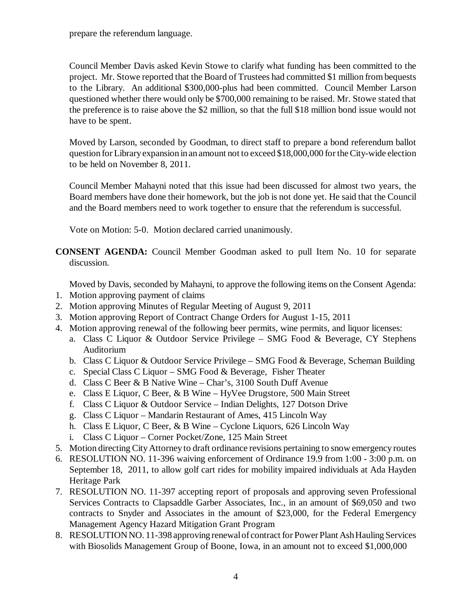prepare the referendum language.

Council Member Davis asked Kevin Stowe to clarify what funding has been committed to the project. Mr. Stowe reported that the Board of Trustees had committed \$1 million from bequests to the Library. An additional \$300,000-plus had been committed. Council Member Larson questioned whether there would only be \$700,000 remaining to be raised. Mr. Stowe stated that the preference is to raise above the \$2 million, so that the full \$18 million bond issue would not have to be spent.

Moved by Larson, seconded by Goodman, to direct staff to prepare a bond referendum ballot question for Library expansion in an amount not to exceed \$18,000,000 for the City-wide election to be held on November 8, 2011.

Council Member Mahayni noted that this issue had been discussed for almost two years, the Board members have done their homework, but the job is not done yet. He said that the Council and the Board members need to work together to ensure that the referendum is successful.

Vote on Motion: 5-0. Motion declared carried unanimously.

**CONSENT AGENDA:** Council Member Goodman asked to pull Item No. 10 for separate discussion.

Moved by Davis, seconded by Mahayni, to approve the following items on the Consent Agenda:

- 1. Motion approving payment of claims
- 2. Motion approving Minutes of Regular Meeting of August 9, 2011
- 3. Motion approving Report of Contract Change Orders for August 1-15, 2011
- 4. Motion approving renewal of the following beer permits, wine permits, and liquor licenses:
	- a. Class C Liquor & Outdoor Service Privilege SMG Food & Beverage, CY Stephens Auditorium
		- b. Class C Liquor & Outdoor Service Privilege SMG Food & Beverage, Scheman Building
		- c. Special Class C Liquor SMG Food & Beverage, Fisher Theater
		- d. Class C Beer & B Native Wine Char's, 3100 South Duff Avenue
		- e. Class E Liquor, C Beer, & B Wine HyVee Drugstore, 500 Main Street
		- f. Class C Liquor & Outdoor Service Indian Delights, 127 Dotson Drive
		- g. Class C Liquor Mandarin Restaurant of Ames, 415 Lincoln Way
		- h. Class E Liquor, C Beer, & B Wine Cyclone Liquors, 626 Lincoln Way
		- i. Class C Liquor Corner Pocket/Zone, 125 Main Street
- 5. Motion directing City Attorney to draft ordinance revisions pertaining to snow emergency routes
- 6. RESOLUTION NO. 11-396 waiving enforcement of Ordinance 19.9 from 1:00 3:00 p.m. on September 18, 2011, to allow golf cart rides for mobility impaired individuals at Ada Hayden Heritage Park
- 7. RESOLUTION NO. 11-397 accepting report of proposals and approving seven Professional Services Contracts to Clapsaddle Garber Associates, Inc., in an amount of \$69,050 and two contracts to Snyder and Associates in the amount of \$23,000, for the Federal Emergency Management Agency Hazard Mitigation Grant Program
- 8. RESOLUTION NO. 11-398 approving renewal of contract for Power Plant Ash Hauling Services with Biosolids Management Group of Boone, Iowa, in an amount not to exceed \$1,000,000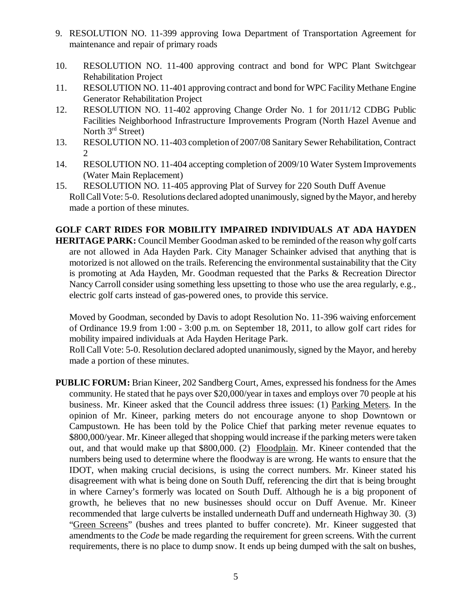- 9. RESOLUTION NO. 11-399 approving Iowa Department of Transportation Agreement for maintenance and repair of primary roads
- 10. RESOLUTION NO. 11-400 approving contract and bond for WPC Plant Switchgear Rehabilitation Project
- 11. RESOLUTION NO. 11-401 approving contract and bond for WPC Facility Methane Engine Generator Rehabilitation Project
- 12. RESOLUTION NO. 11-402 approving Change Order No. 1 for 2011/12 CDBG Public Facilities Neighborhood Infrastructure Improvements Program (North Hazel Avenue and North  $3<sup>rd</sup>$  Street)
- 13. RESOLUTION NO. 11-403 completion of 2007/08 Sanitary Sewer Rehabilitation, Contract 2
- 14. RESOLUTION NO. 11-404 accepting completion of 2009/10 Water System Improvements (Water Main Replacement)
- 15. RESOLUTION NO. 11-405 approving Plat of Survey for 220 South Duff Avenue Roll Call Vote: 5-0. Resolutions declared adopted unanimously, signed by the Mayor, and hereby made a portion of these minutes.

# **GOLF CART RIDES FOR MOBILITY IMPAIRED INDIVIDUALS AT ADA HAYDEN**

**HERITAGE PARK:** Council Member Goodman asked to be reminded of the reason why golf carts are not allowed in Ada Hayden Park. City Manager Schainker advised that anything that is motorized is not allowed on the trails. Referencing the environmental sustainability that the City is promoting at Ada Hayden, Mr. Goodman requested that the Parks & Recreation Director Nancy Carroll consider using something less upsetting to those who use the area regularly, e.g., electric golf carts instead of gas-powered ones, to provide this service.

Moved by Goodman, seconded by Davis to adopt Resolution No. 11-396 waiving enforcement of Ordinance 19.9 from 1:00 - 3:00 p.m. on September 18, 2011, to allow golf cart rides for mobility impaired individuals at Ada Hayden Heritage Park.

Roll Call Vote: 5-0. Resolution declared adopted unanimously, signed by the Mayor, and hereby made a portion of these minutes.

**PUBLIC FORUM:** Brian Kineer, 202 Sandberg Court, Ames, expressed his fondness for the Ames community. He stated that he pays over \$20,000/year in taxes and employs over 70 people at his business. Mr. Kineer asked that the Council address three issues: (1) Parking Meters. In the opinion of Mr. Kineer, parking meters do not encourage anyone to shop Downtown or Campustown. He has been told by the Police Chief that parking meter revenue equates to \$800,000/year. Mr. Kineer alleged that shopping would increase if the parking meters were taken out, and that would make up that \$800,000. (2) Floodplain. Mr. Kineer contended that the numbers being used to determine where the floodway is are wrong. He wants to ensure that the IDOT, when making crucial decisions, is using the correct numbers. Mr. Kineer stated his disagreement with what is being done on South Duff, referencing the dirt that is being brought in where Carney's formerly was located on South Duff. Although he is a big proponent of growth, he believes that no new businesses should occur on Duff Avenue. Mr. Kineer recommended that large culverts be installed underneath Duff and underneath Highway 30. (3) "Green Screens" (bushes and trees planted to buffer concrete). Mr. Kineer suggested that amendments to the *Code* be made regarding the requirement for green screens. With the current requirements, there is no place to dump snow. It ends up being dumped with the salt on bushes,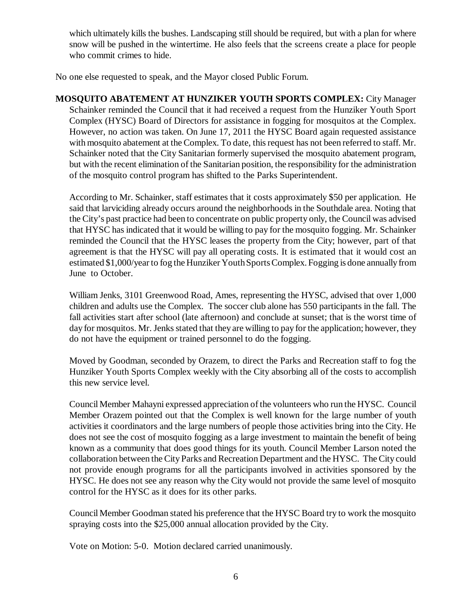which ultimately kills the bushes. Landscaping still should be required, but with a plan for where snow will be pushed in the wintertime. He also feels that the screens create a place for people who commit crimes to hide.

No one else requested to speak, and the Mayor closed Public Forum.

**MOSQUITO ABATEMENT AT HUNZIKER YOUTH SPORTS COMPLEX:** City Manager Schainker reminded the Council that it had received a request from the Hunziker Youth Sport Complex (HYSC) Board of Directors for assistance in fogging for mosquitos at the Complex. However, no action was taken. On June 17, 2011 the HYSC Board again requested assistance with mosquito abatement at the Complex. To date, this request has not been referred to staff. Mr. Schainker noted that the City Sanitarian formerly supervised the mosquito abatement program, but with the recent elimination of the Sanitarian position, the responsibility for the administration of the mosquito control program has shifted to the Parks Superintendent.

According to Mr. Schainker, staff estimates that it costs approximately \$50 per application. He said that larviciding already occurs around the neighborhoods in the Southdale area. Noting that the City's past practice had been to concentrate on public property only, the Council was advised that HYSC has indicated that it would be willing to pay for the mosquito fogging. Mr. Schainker reminded the Council that the HYSC leases the property from the City; however, part of that agreement is that the HYSC will pay all operating costs. It is estimated that it would cost an estimated \$1,000/year to fog the Hunziker Youth Sports Complex. Fogging is done annually from June to October.

William Jenks, 3101 Greenwood Road, Ames, representing the HYSC, advised that over 1,000 children and adults use the Complex. The soccer club alone has 550 participants in the fall. The fall activities start after school (late afternoon) and conclude at sunset; that is the worst time of day for mosquitos. Mr. Jenks stated that they are willing to pay for the application; however, they do not have the equipment or trained personnel to do the fogging.

Moved by Goodman, seconded by Orazem, to direct the Parks and Recreation staff to fog the Hunziker Youth Sports Complex weekly with the City absorbing all of the costs to accomplish this new service level.

Council Member Mahayni expressed appreciation of the volunteers who run the HYSC. Council Member Orazem pointed out that the Complex is well known for the large number of youth activities it coordinators and the large numbers of people those activities bring into the City. He does not see the cost of mosquito fogging as a large investment to maintain the benefit of being known as a community that does good things for its youth. Council Member Larson noted the collaboration between the City Parks and Recreation Department and the HYSC. The City could not provide enough programs for all the participants involved in activities sponsored by the HYSC. He does not see any reason why the City would not provide the same level of mosquito control for the HYSC as it does for its other parks.

Council Member Goodman stated his preference that the HYSC Board try to work the mosquito spraying costs into the \$25,000 annual allocation provided by the City.

Vote on Motion: 5-0. Motion declared carried unanimously.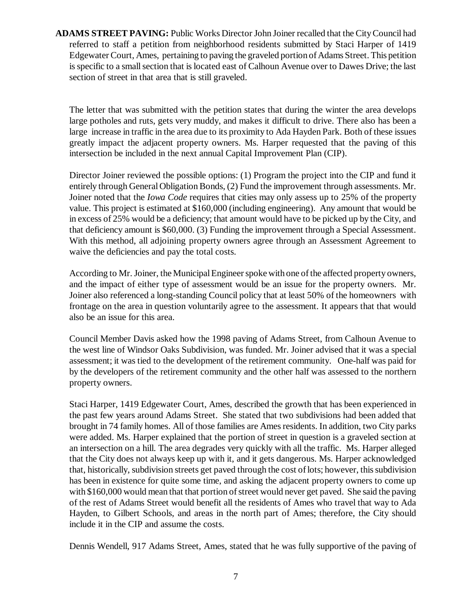**ADAMS STREET PAVING:** Public Works Director John Joiner recalled that the City Council had referred to staff a petition from neighborhood residents submitted by Staci Harper of 1419 Edgewater Court, Ames, pertaining to paving the graveled portion of Adams Street. This petition is specific to a small section that is located east of Calhoun Avenue over to Dawes Drive; the last section of street in that area that is still graveled.

The letter that was submitted with the petition states that during the winter the area develops large potholes and ruts, gets very muddy, and makes it difficult to drive. There also has been a large increase in traffic in the area due to its proximity to Ada Hayden Park. Both of these issues greatly impact the adjacent property owners. Ms. Harper requested that the paving of this intersection be included in the next annual Capital Improvement Plan (CIP).

Director Joiner reviewed the possible options: (1) Program the project into the CIP and fund it entirely through General Obligation Bonds, (2) Fund the improvement through assessments. Mr. Joiner noted that the *Iowa Code* requires that cities may only assess up to 25% of the property value. This project is estimated at \$160,000 (including engineering). Any amount that would be in excess of 25% would be a deficiency; that amount would have to be picked up by the City, and that deficiency amount is \$60,000. (3) Funding the improvement through a Special Assessment. With this method, all adjoining property owners agree through an Assessment Agreement to waive the deficiencies and pay the total costs.

According to Mr. Joiner, the Municipal Engineer spoke with one of the affected property owners, and the impact of either type of assessment would be an issue for the property owners. Mr. Joiner also referenced a long-standing Council policy that at least 50% of the homeowners with frontage on the area in question voluntarily agree to the assessment. It appears that that would also be an issue for this area.

Council Member Davis asked how the 1998 paving of Adams Street, from Calhoun Avenue to the west line of Windsor Oaks Subdivision, was funded. Mr. Joiner advised that it was a special assessment; it was tied to the development of the retirement community. One-half was paid for by the developers of the retirement community and the other half was assessed to the northern property owners.

Staci Harper, 1419 Edgewater Court, Ames, described the growth that has been experienced in the past few years around Adams Street. She stated that two subdivisions had been added that brought in 74 family homes. All of those families are Ames residents. In addition, two City parks were added. Ms. Harper explained that the portion of street in question is a graveled section at an intersection on a hill. The area degrades very quickly with all the traffic. Ms. Harper alleged that the City does not always keep up with it, and it gets dangerous. Ms. Harper acknowledged that, historically, subdivision streets get paved through the cost of lots; however, this subdivision has been in existence for quite some time, and asking the adjacent property owners to come up with \$160,000 would mean that that portion of street would never get paved. She said the paving of the rest of Adams Street would benefit all the residents of Ames who travel that way to Ada Hayden, to Gilbert Schools, and areas in the north part of Ames; therefore, the City should include it in the CIP and assume the costs.

Dennis Wendell, 917 Adams Street, Ames, stated that he was fully supportive of the paving of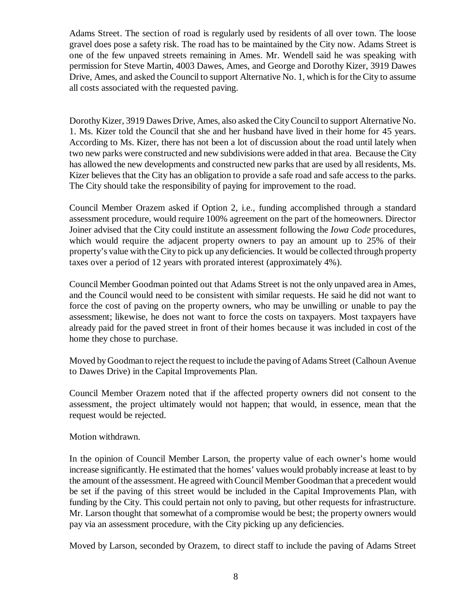Adams Street. The section of road is regularly used by residents of all over town. The loose gravel does pose a safety risk. The road has to be maintained by the City now. Adams Street is one of the few unpaved streets remaining in Ames. Mr. Wendell said he was speaking with permission for Steve Martin, 4003 Dawes, Ames, and George and Dorothy Kizer, 3919 Dawes Drive, Ames, and asked the Council to support Alternative No. 1, which is for the City to assume all costs associated with the requested paving.

Dorothy Kizer, 3919 Dawes Drive, Ames, also asked the City Council to support Alternative No. 1. Ms. Kizer told the Council that she and her husband have lived in their home for 45 years. According to Ms. Kizer, there has not been a lot of discussion about the road until lately when two new parks were constructed and new subdivisions were added in that area. Because the City has allowed the new developments and constructed new parks that are used by all residents, Ms. Kizer believes that the City has an obligation to provide a safe road and safe access to the parks. The City should take the responsibility of paying for improvement to the road.

Council Member Orazem asked if Option 2, i.e., funding accomplished through a standard assessment procedure, would require 100% agreement on the part of the homeowners. Director Joiner advised that the City could institute an assessment following the *Iowa Code* procedures, which would require the adjacent property owners to pay an amount up to 25% of their property's value with the City to pick up any deficiencies. It would be collected through property taxes over a period of 12 years with prorated interest (approximately 4%).

Council Member Goodman pointed out that Adams Street is not the only unpaved area in Ames, and the Council would need to be consistent with similar requests. He said he did not want to force the cost of paving on the property owners, who may be unwilling or unable to pay the assessment; likewise, he does not want to force the costs on taxpayers. Most taxpayers have already paid for the paved street in front of their homes because it was included in cost of the home they chose to purchase.

Moved by Goodman to reject the request to include the paving of Adams Street (Calhoun Avenue to Dawes Drive) in the Capital Improvements Plan.

Council Member Orazem noted that if the affected property owners did not consent to the assessment, the project ultimately would not happen; that would, in essence, mean that the request would be rejected.

Motion withdrawn.

In the opinion of Council Member Larson, the property value of each owner's home would increase significantly. He estimated that the homes' values would probably increase at least to by the amount of the assessment. He agreed with Council Member Goodman that a precedent would be set if the paving of this street would be included in the Capital Improvements Plan, with funding by the City. This could pertain not only to paving, but other requests for infrastructure. Mr. Larson thought that somewhat of a compromise would be best; the property owners would pay via an assessment procedure, with the City picking up any deficiencies.

Moved by Larson, seconded by Orazem, to direct staff to include the paving of Adams Street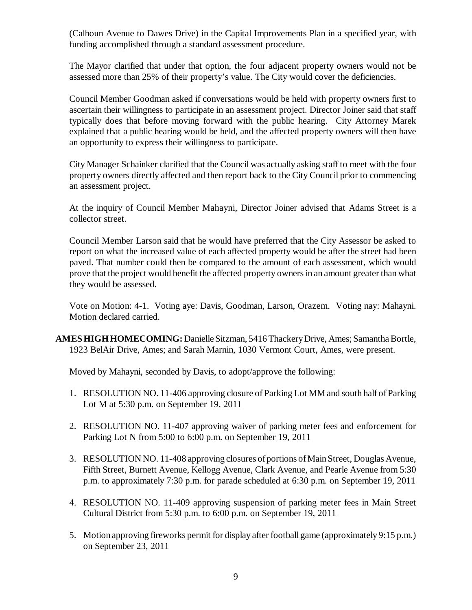(Calhoun Avenue to Dawes Drive) in the Capital Improvements Plan in a specified year, with funding accomplished through a standard assessment procedure.

The Mayor clarified that under that option, the four adjacent property owners would not be assessed more than 25% of their property's value. The City would cover the deficiencies.

Council Member Goodman asked if conversations would be held with property owners first to ascertain their willingness to participate in an assessment project. Director Joiner said that staff typically does that before moving forward with the public hearing. City Attorney Marek explained that a public hearing would be held, and the affected property owners will then have an opportunity to express their willingness to participate.

City Manager Schainker clarified that the Council was actually asking staff to meet with the four property owners directly affected and then report back to the City Council prior to commencing an assessment project.

At the inquiry of Council Member Mahayni, Director Joiner advised that Adams Street is a collector street.

Council Member Larson said that he would have preferred that the City Assessor be asked to report on what the increased value of each affected property would be after the street had been paved. That number could then be compared to the amount of each assessment, which would prove that the project would benefit the affected property owners in an amount greater than what they would be assessed.

Vote on Motion: 4-1. Voting aye: Davis, Goodman, Larson, Orazem. Voting nay: Mahayni. Motion declared carried.

**AMES HIGH HOMECOMING:** Danielle Sitzman, 5416 Thackery Drive, Ames; Samantha Bortle, 1923 BelAir Drive, Ames; and Sarah Marnin, 1030 Vermont Court, Ames, were present.

Moved by Mahayni, seconded by Davis, to adopt/approve the following:

- 1. RESOLUTION NO. 11-406 approving closure of Parking Lot MM and south half of Parking Lot M at 5:30 p.m. on September 19, 2011
- 2. RESOLUTION NO. 11-407 approving waiver of parking meter fees and enforcement for Parking Lot N from 5:00 to 6:00 p.m. on September 19, 2011
- 3. RESOLUTION NO. 11-408 approving closures of portions of Main Street, Douglas Avenue, Fifth Street, Burnett Avenue, Kellogg Avenue, Clark Avenue, and Pearle Avenue from 5:30 p.m. to approximately 7:30 p.m. for parade scheduled at 6:30 p.m. on September 19, 2011
- 4. RESOLUTION NO. 11-409 approving suspension of parking meter fees in Main Street Cultural District from 5:30 p.m. to 6:00 p.m. on September 19, 2011
- 5. Motion approving fireworks permit for display after football game (approximately 9:15 p.m.) on September 23, 2011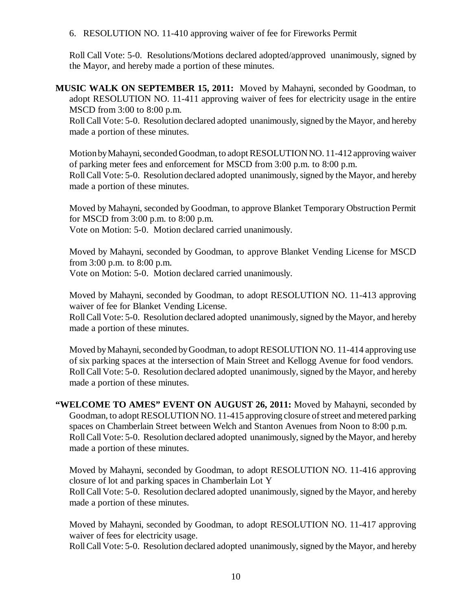6. RESOLUTION NO. 11-410 approving waiver of fee for Fireworks Permit

Roll Call Vote: 5-0. Resolutions/Motions declared adopted/approved unanimously, signed by the Mayor, and hereby made a portion of these minutes.

**MUSIC WALK ON SEPTEMBER 15, 2011:** Moved by Mahayni, seconded by Goodman, to adopt RESOLUTION NO. 11-411 approving waiver of fees for electricity usage in the entire MSCD from 3:00 to 8:00 p.m.

Roll Call Vote: 5-0. Resolution declared adopted unanimously, signed by the Mayor, and hereby made a portion of these minutes.

Motion by Mahayni, seconded Goodman, to adopt RESOLUTION NO. 11-412 approving waiver of parking meter fees and enforcement for MSCD from 3:00 p.m. to 8:00 p.m. Roll Call Vote: 5-0. Resolution declared adopted unanimously, signed by the Mayor, and hereby made a portion of these minutes.

Moved by Mahayni, seconded by Goodman, to approve Blanket Temporary Obstruction Permit for MSCD from 3:00 p.m. to 8:00 p.m.

Vote on Motion: 5-0. Motion declared carried unanimously.

Moved by Mahayni, seconded by Goodman, to approve Blanket Vending License for MSCD from 3:00 p.m. to 8:00 p.m.

Vote on Motion: 5-0. Motion declared carried unanimously.

Moved by Mahayni, seconded by Goodman, to adopt RESOLUTION NO. 11-413 approving waiver of fee for Blanket Vending License.

Roll Call Vote: 5-0. Resolution declared adopted unanimously, signed by the Mayor, and hereby made a portion of these minutes.

Moved by Mahayni, seconded by Goodman, to adopt RESOLUTION NO. 11-414 approving use of six parking spaces at the intersection of Main Street and Kellogg Avenue for food vendors. Roll Call Vote: 5-0. Resolution declared adopted unanimously, signed by the Mayor, and hereby made a portion of these minutes.

**"WELCOME TO AMES" EVENT ON AUGUST 26, 2011:** Moved by Mahayni, seconded by Goodman, to adopt RESOLUTION NO. 11-415 approving closure of street and metered parking spaces on Chamberlain Street between Welch and Stanton Avenues from Noon to 8:00 p.m. Roll Call Vote: 5-0. Resolution declared adopted unanimously, signed by the Mayor, and hereby made a portion of these minutes.

Moved by Mahayni, seconded by Goodman, to adopt RESOLUTION NO. 11-416 approving closure of lot and parking spaces in Chamberlain Lot Y Roll Call Vote: 5-0. Resolution declared adopted unanimously, signed by the Mayor, and hereby made a portion of these minutes.

Moved by Mahayni, seconded by Goodman, to adopt RESOLUTION NO. 11-417 approving waiver of fees for electricity usage.

Roll Call Vote: 5-0. Resolution declared adopted unanimously, signed by the Mayor, and hereby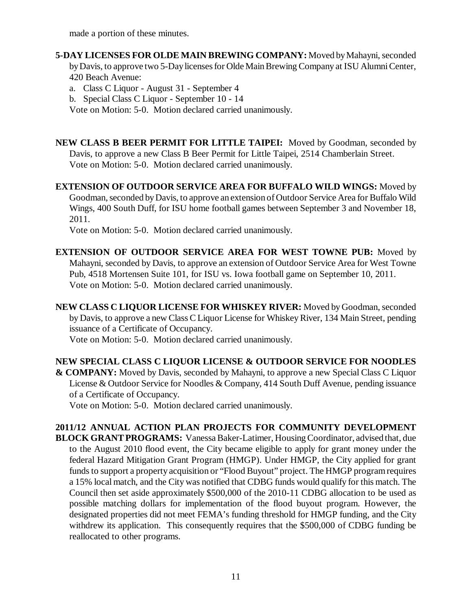made a portion of these minutes.

**5-DAY LICENSES FOR OLDE MAIN BREWING COMPANY:** Moved by Mahayni, seconded by Davis, to approve two 5-Day licenses for Olde Main Brewing Company at ISU Alumni Center, 420 Beach Avenue:

a. Class C Liquor - August 31 - September 4

b. Special Class C Liquor - September 10 - 14

Vote on Motion: 5-0. Motion declared carried unanimously.

**NEW CLASS B BEER PERMIT FOR LITTLE TAIPEI:** Moved by Goodman, seconded by Davis, to approve a new Class B Beer Permit for Little Taipei, 2514 Chamberlain Street. Vote on Motion: 5-0. Motion declared carried unanimously.

**EXTENSION OF OUTDOOR SERVICE AREA FOR BUFFALO WILD WINGS:** Moved by Goodman, seconded by Davis, to approve an extension of Outdoor Service Area for Buffalo Wild Wings, 400 South Duff, for ISU home football games between September 3 and November 18, 2011.

Vote on Motion: 5-0. Motion declared carried unanimously.

**EXTENSION OF OUTDOOR SERVICE AREA FOR WEST TOWNE PUB:** Moved by Mahayni, seconded by Davis, to approve an extension of Outdoor Service Area for West Towne Pub, 4518 Mortensen Suite 101, for ISU vs. Iowa football game on September 10, 2011. Vote on Motion: 5-0. Motion declared carried unanimously.

**NEW CLASS C LIQUOR LICENSE FOR WHISKEY RIVER:** Moved by Goodman, seconded by Davis, to approve a new Class C Liquor License for Whiskey River, 134 Main Street, pending issuance of a Certificate of Occupancy.

Vote on Motion: 5-0. Motion declared carried unanimously.

**NEW SPECIAL CLASS C LIQUOR LICENSE & OUTDOOR SERVICE FOR NOODLES & COMPANY:** Moved by Davis, seconded by Mahayni, to approve a new Special Class C Liquor License & Outdoor Service for Noodles & Company, 414 South Duff Avenue, pending issuance of a Certificate of Occupancy.

Vote on Motion: 5-0. Motion declared carried unanimously.

**2011/12 ANNUAL ACTION PLAN PROJECTS FOR COMMUNITY DEVELOPMENT BLOCK GRANT PROGRAMS:** Vanessa Baker-Latimer, Housing Coordinator, advised that, due to the August 2010 flood event, the City became eligible to apply for grant money under the federal Hazard Mitigation Grant Program (HMGP). Under HMGP, the City applied for grant funds to support a property acquisition or "Flood Buyout" project. The HMGP program requires a 15% local match, and the City was notified that CDBG funds would qualify for this match. The Council then set aside approximately \$500,000 of the 2010-11 CDBG allocation to be used as possible matching dollars for implementation of the flood buyout program. However, the designated properties did not meet FEMA's funding threshold for HMGP funding, and the City withdrew its application. This consequently requires that the \$500,000 of CDBG funding be reallocated to other programs.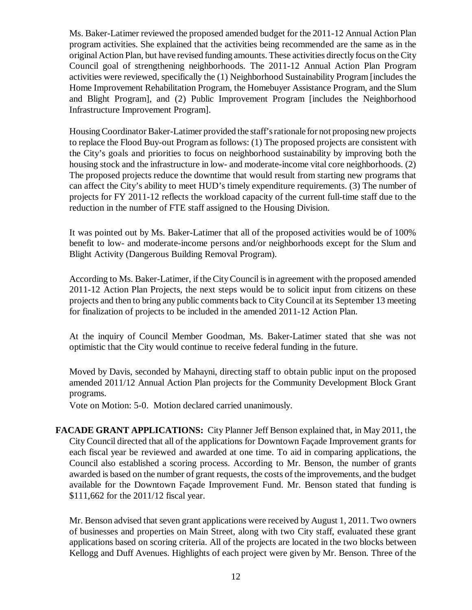Ms. Baker-Latimer reviewed the proposed amended budget for the 2011-12 Annual Action Plan program activities. She explained that the activities being recommended are the same as in the original Action Plan, but have revised funding amounts. These activities directly focus on the City Council goal of strengthening neighborhoods. The 2011-12 Annual Action Plan Program activities were reviewed, specifically the (1) Neighborhood Sustainability Program [includes the Home Improvement Rehabilitation Program, the Homebuyer Assistance Program, and the Slum and Blight Program], and (2) Public Improvement Program [includes the Neighborhood Infrastructure Improvement Program].

Housing Coordinator Baker-Latimer provided the staff's rationale for not proposing new projects to replace the Flood Buy-out Program as follows: (1) The proposed projects are consistent with the City's goals and priorities to focus on neighborhood sustainability by improving both the housing stock and the infrastructure in low- and moderate-income vital core neighborhoods. (2) The proposed projects reduce the downtime that would result from starting new programs that can affect the City's ability to meet HUD's timely expenditure requirements. (3) The number of projects for FY 2011-12 reflects the workload capacity of the current full-time staff due to the reduction in the number of FTE staff assigned to the Housing Division.

It was pointed out by Ms. Baker-Latimer that all of the proposed activities would be of 100% benefit to low- and moderate-income persons and/or neighborhoods except for the Slum and Blight Activity (Dangerous Building Removal Program).

According to Ms. Baker-Latimer, if the City Council is in agreement with the proposed amended 2011-12 Action Plan Projects, the next steps would be to solicit input from citizens on these projects and then to bring any public comments back to City Council at its September 13 meeting for finalization of projects to be included in the amended 2011-12 Action Plan.

At the inquiry of Council Member Goodman, Ms. Baker-Latimer stated that she was not optimistic that the City would continue to receive federal funding in the future.

Moved by Davis, seconded by Mahayni, directing staff to obtain public input on the proposed amended 2011/12 Annual Action Plan projects for the Community Development Block Grant programs.

Vote on Motion: 5-0. Motion declared carried unanimously.

**FACADE GRANT APPLICATIONS:** City Planner Jeff Benson explained that, in May 2011, the City Council directed that all of the applications for Downtown Façade Improvement grants for each fiscal year be reviewed and awarded at one time. To aid in comparing applications, the Council also established a scoring process. According to Mr. Benson, the number of grants awarded is based on the number of grant requests, the costs of the improvements, and the budget available for the Downtown Façade Improvement Fund. Mr. Benson stated that funding is \$111,662 for the 2011/12 fiscal year.

Mr. Benson advised that seven grant applications were received by August 1, 2011. Two owners of businesses and properties on Main Street, along with two City staff, evaluated these grant applications based on scoring criteria. All of the projects are located in the two blocks between Kellogg and Duff Avenues. Highlights of each project were given by Mr. Benson. Three of the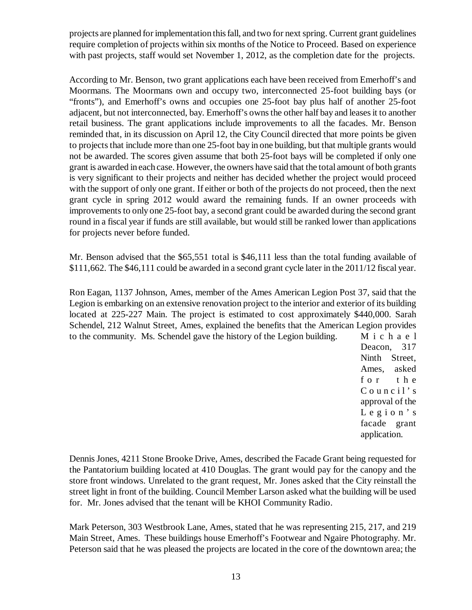projects are planned for implementation this fall, and two for next spring. Current grant guidelines require completion of projects within six months of the Notice to Proceed. Based on experience with past projects, staff would set November 1, 2012, as the completion date for the projects.

According to Mr. Benson, two grant applications each have been received from Emerhoff's and Moormans. The Moormans own and occupy two, interconnected 25-foot building bays (or "fronts"), and Emerhoff's owns and occupies one 25-foot bay plus half of another 25-foot adjacent, but not interconnected, bay. Emerhoff's owns the other half bay and leases it to another retail business. The grant applications include improvements to all the facades. Mr. Benson reminded that, in its discussion on April 12, the City Council directed that more points be given to projects that include more than one 25-foot bay in one building, but that multiple grants would not be awarded. The scores given assume that both 25-foot bays will be completed if only one grant is awarded in each case. However, the owners have said that the total amount of both grants is very significant to their projects and neither has decided whether the project would proceed with the support of only one grant. If either or both of the projects do not proceed, then the next grant cycle in spring 2012 would award the remaining funds. If an owner proceeds with improvements to only one 25-foot bay, a second grant could be awarded during the second grant round in a fiscal year if funds are still available, but would still be ranked lower than applications for projects never before funded.

Mr. Benson advised that the \$65,551 total is \$46,111 less than the total funding available of \$111,662. The \$46,111 could be awarded in a second grant cycle later in the 2011/12 fiscal year.

Ron Eagan, 1137 Johnson, Ames, member of the Ames American Legion Post 37, said that the Legion is embarking on an extensive renovation project to the interior and exterior of its building located at 225-227 Main. The project is estimated to cost approximately \$440,000. Sarah Schendel, 212 Walnut Street, Ames, explained the benefits that the American Legion provides to the community. Ms. Schendel gave the history of the Legion building.  $M_i$  i c h a e l

> Deacon, 317 Ninth Street, Ames, asked f o r the  $C$  o u n c i  $l$ ' s approval of the Legion's facade grant application.

Dennis Jones, 4211 Stone Brooke Drive, Ames, described the Facade Grant being requested for the Pantatorium building located at 410 Douglas. The grant would pay for the canopy and the store front windows. Unrelated to the grant request, Mr. Jones asked that the City reinstall the street light in front of the building. Council Member Larson asked what the building will be used for. Mr. Jones advised that the tenant will be KHOI Community Radio.

Mark Peterson, 303 Westbrook Lane, Ames, stated that he was representing 215, 217, and 219 Main Street, Ames. These buildings house Emerhoff's Footwear and Ngaire Photography. Mr. Peterson said that he was pleased the projects are located in the core of the downtown area; the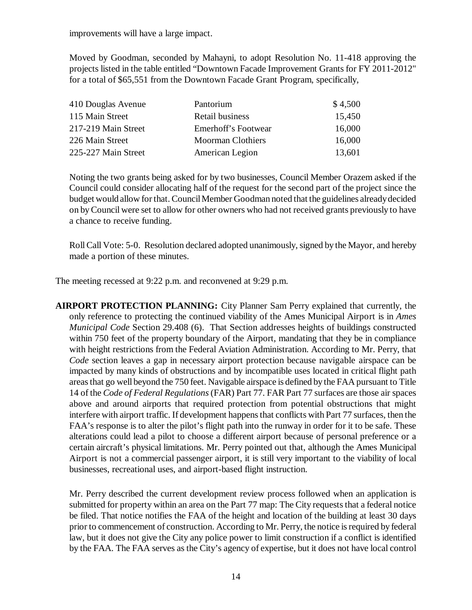improvements will have a large impact.

Moved by Goodman, seconded by Mahayni, to adopt Resolution No. 11-418 approving the projects listed in the table entitled "Downtown Facade Improvement Grants for FY 2011-2012" for a total of \$65,551 from the Downtown Facade Grant Program, specifically,

| 410 Douglas Avenue  | Pantorium                | \$4,500 |
|---------------------|--------------------------|---------|
| 115 Main Street     | Retail business          | 15,450  |
| 217-219 Main Street | Emerhoff's Footwear      | 16,000  |
| 226 Main Street     | <b>Moorman Clothiers</b> | 16,000  |
| 225-227 Main Street | American Legion          | 13,601  |

Noting the two grants being asked for by two businesses, Council Member Orazem asked if the Council could consider allocating half of the request for the second part of the project since the budget would allow for that. Council Member Goodman noted that the guidelines already decided on by Council were set to allow for other owners who had not received grants previously to have a chance to receive funding.

Roll Call Vote: 5-0. Resolution declared adopted unanimously, signed by the Mayor, and hereby made a portion of these minutes.

The meeting recessed at 9:22 p.m. and reconvened at 9:29 p.m.

**AIRPORT PROTECTION PLANNING:** City Planner Sam Perry explained that currently, the only reference to protecting the continued viability of the Ames Municipal Airport is in *Ames Municipal Code* Section 29.408 (6). That Section addresses heights of buildings constructed within 750 feet of the property boundary of the Airport, mandating that they be in compliance with height restrictions from the Federal Aviation Administration. According to Mr. Perry, that *Code* section leaves a gap in necessary airport protection because navigable airspace can be impacted by many kinds of obstructions and by incompatible uses located in critical flight path areas that go well beyond the 750 feet. Navigable airspace is defined by the FAA pursuant to Title 14 of the *Code of Federal Regulations* (FAR) Part 77. FAR Part 77 surfaces are those air spaces above and around airports that required protection from potential obstructions that might interfere with airport traffic. If development happens that conflicts with Part 77 surfaces, then the FAA's response is to alter the pilot's flight path into the runway in order for it to be safe. These alterations could lead a pilot to choose a different airport because of personal preference or a certain aircraft's physical limitations. Mr. Perry pointed out that, although the Ames Municipal Airport is not a commercial passenger airport, it is still very important to the viability of local businesses, recreational uses, and airport-based flight instruction.

Mr. Perry described the current development review process followed when an application is submitted for property within an area on the Part 77 map: The City requests that a federal notice be filed. That notice notifies the FAA of the height and location of the building at least 30 days prior to commencement of construction. According to Mr. Perry, the notice is required by federal law, but it does not give the City any police power to limit construction if a conflict is identified by the FAA. The FAA serves as the City's agency of expertise, but it does not have local control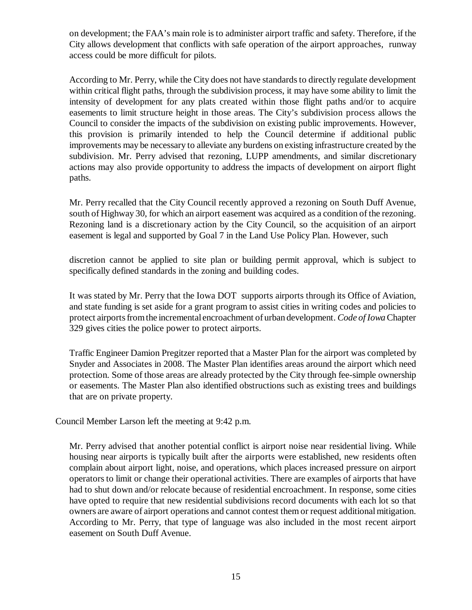on development; the FAA's main role is to administer airport traffic and safety. Therefore, if the City allows development that conflicts with safe operation of the airport approaches, runway access could be more difficult for pilots.

According to Mr. Perry, while the City does not have standards to directly regulate development within critical flight paths, through the subdivision process, it may have some ability to limit the intensity of development for any plats created within those flight paths and/or to acquire easements to limit structure height in those areas. The City's subdivision process allows the Council to consider the impacts of the subdivision on existing public improvements. However, this provision is primarily intended to help the Council determine if additional public improvements may be necessary to alleviate any burdens on existing infrastructure created by the subdivision. Mr. Perry advised that rezoning, LUPP amendments, and similar discretionary actions may also provide opportunity to address the impacts of development on airport flight paths.

Mr. Perry recalled that the City Council recently approved a rezoning on South Duff Avenue, south of Highway 30, for which an airport easement was acquired as a condition of the rezoning. Rezoning land is a discretionary action by the City Council, so the acquisition of an airport easement is legal and supported by Goal 7 in the Land Use Policy Plan. However, such

discretion cannot be applied to site plan or building permit approval, which is subject to specifically defined standards in the zoning and building codes.

It was stated by Mr. Perry that the Iowa DOT supports airports through its Office of Aviation, and state funding is set aside for a grant program to assist cities in writing codes and policies to protect airports from the incremental encroachment of urban development. *Code of Iowa* Chapter 329 gives cities the police power to protect airports.

Traffic Engineer Damion Pregitzer reported that a Master Plan for the airport was completed by Snyder and Associates in 2008. The Master Plan identifies areas around the airport which need protection. Some of those areas are already protected by the City through fee-simple ownership or easements. The Master Plan also identified obstructions such as existing trees and buildings that are on private property.

Council Member Larson left the meeting at 9:42 p.m.

Mr. Perry advised that another potential conflict is airport noise near residential living. While housing near airports is typically built after the airports were established, new residents often complain about airport light, noise, and operations, which places increased pressure on airport operators to limit or change their operational activities. There are examples of airports that have had to shut down and/or relocate because of residential encroachment. In response, some cities have opted to require that new residential subdivisions record documents with each lot so that owners are aware of airport operations and cannot contest them or request additional mitigation. According to Mr. Perry, that type of language was also included in the most recent airport easement on South Duff Avenue.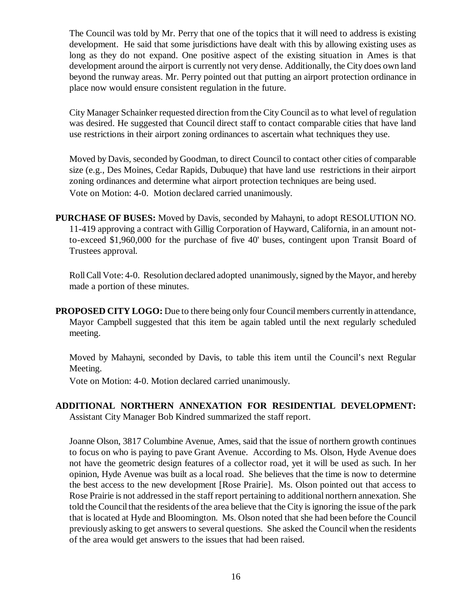The Council was told by Mr. Perry that one of the topics that it will need to address is existing development. He said that some jurisdictions have dealt with this by allowing existing uses as long as they do not expand. One positive aspect of the existing situation in Ames is that development around the airport is currently not very dense. Additionally, the City does own land beyond the runway areas. Mr. Perry pointed out that putting an airport protection ordinance in place now would ensure consistent regulation in the future.

City Manager Schainker requested direction from the City Council as to what level of regulation was desired. He suggested that Council direct staff to contact comparable cities that have land use restrictions in their airport zoning ordinances to ascertain what techniques they use.

Moved by Davis, seconded by Goodman, to direct Council to contact other cities of comparable size (e.g., Des Moines, Cedar Rapids, Dubuque) that have land use restrictions in their airport zoning ordinances and determine what airport protection techniques are being used. Vote on Motion: 4-0. Motion declared carried unanimously.

**PURCHASE OF BUSES:** Moved by Davis, seconded by Mahayni, to adopt RESOLUTION NO. 11-419 approving a contract with Gillig Corporation of Hayward, California, in an amount notto-exceed \$1,960,000 for the purchase of five 40' buses, contingent upon Transit Board of Trustees approval.

Roll Call Vote: 4-0. Resolution declared adopted unanimously, signed by the Mayor, and hereby made a portion of these minutes.

**PROPOSED CITY LOGO:** Due to there being only four Council members currently in attendance, Mayor Campbell suggested that this item be again tabled until the next regularly scheduled meeting.

Moved by Mahayni, seconded by Davis, to table this item until the Council's next Regular Meeting.

Vote on Motion: 4-0. Motion declared carried unanimously.

**ADDITIONAL NORTHERN ANNEXATION FOR RESIDENTIAL DEVELOPMENT:** Assistant City Manager Bob Kindred summarized the staff report.

Joanne Olson, 3817 Columbine Avenue, Ames, said that the issue of northern growth continues to focus on who is paying to pave Grant Avenue. According to Ms. Olson, Hyde Avenue does not have the geometric design features of a collector road, yet it will be used as such. In her opinion, Hyde Avenue was built as a local road. She believes that the time is now to determine the best access to the new development [Rose Prairie]. Ms. Olson pointed out that access to Rose Prairie is not addressed in the staff report pertaining to additional northern annexation. She told the Council that the residents of the area believe that the City is ignoring the issue of the park that is located at Hyde and Bloomington. Ms. Olson noted that she had been before the Council previously asking to get answers to several questions. She asked the Council when the residents of the area would get answers to the issues that had been raised.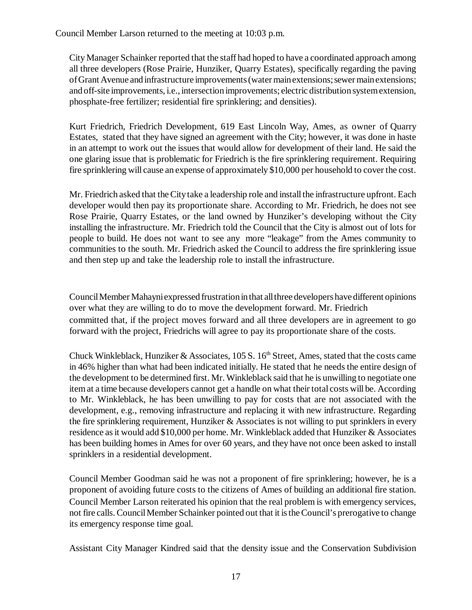Council Member Larson returned to the meeting at 10:03 p.m.

City Manager Schainker reported that the staff had hoped to have a coordinated approach among all three developers (Rose Prairie, Hunziker, Quarry Estates), specifically regarding the paving of Grant Avenue and infrastructure improvements (water main extensions; sewer main extensions; and off-site improvements, i.e., intersection improvements; electric distribution system extension, phosphate-free fertilizer; residential fire sprinklering; and densities).

 Kurt Friedrich, Friedrich Development, 619 East Lincoln Way, Ames, as owner of Quarry Estates, stated that they have signed an agreement with the City; however, it was done in haste in an attempt to work out the issues that would allow for development of their land. He said the one glaring issue that is problematic for Friedrich is the fire sprinklering requirement. Requiring fire sprinklering will cause an expense of approximately \$10,000 per household to cover the cost.

Mr. Friedrich asked that the City take a leadership role and install the infrastructure upfront. Each developer would then pay its proportionate share. According to Mr. Friedrich, he does not see Rose Prairie, Quarry Estates, or the land owned by Hunziker's developing without the City installing the infrastructure. Mr. Friedrich told the Council that the City is almost out of lots for people to build. He does not want to see any more "leakage" from the Ames community to communities to the south. Mr. Friedrich asked the Council to address the fire sprinklering issue and then step up and take the leadership role to install the infrastructure.

Council Member Mahayni expressed frustration in that all three developers have different opinions over what they are willing to do to move the development forward. Mr. Friedrich committed that, if the project moves forward and all three developers are in agreement to go forward with the project, Friedrichs will agree to pay its proportionate share of the costs.

Chuck Winkleblack, Hunziker & Associates, 105 S.  $16<sup>th</sup>$  Street, Ames, stated that the costs came in 46% higher than what had been indicated initially. He stated that he needs the entire design of the development to be determined first. Mr. Winkleblack said that he is unwilling to negotiate one item at a time because developers cannot get a handle on what their total costs will be. According to Mr. Winkleblack, he has been unwilling to pay for costs that are not associated with the development, e.g., removing infrastructure and replacing it with new infrastructure. Regarding the fire sprinklering requirement, Hunziker  $\&$  Associates is not willing to put sprinklers in every residence as it would add \$10,000 per home. Mr. Winkleblack added that Hunziker & Associates has been building homes in Ames for over 60 years, and they have not once been asked to install sprinklers in a residential development.

Council Member Goodman said he was not a proponent of fire sprinklering; however, he is a proponent of avoiding future costs to the citizens of Ames of building an additional fire station. Council Member Larson reiterated his opinion that the real problem is with emergency services, not fire calls. Council Member Schainker pointed out that it is the Council's prerogative to change its emergency response time goal.

Assistant City Manager Kindred said that the density issue and the Conservation Subdivision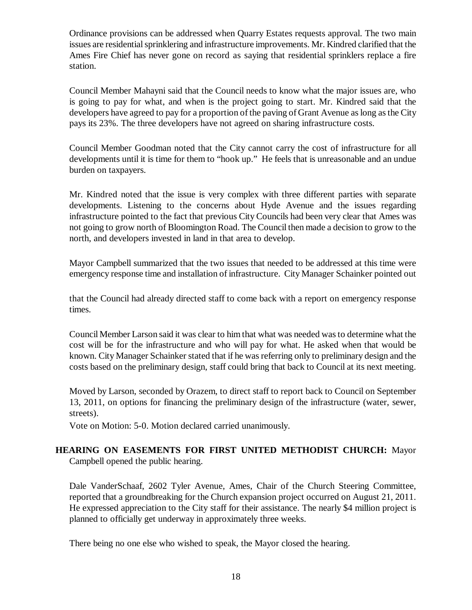Ordinance provisions can be addressed when Quarry Estates requests approval. The two main issues are residential sprinklering and infrastructure improvements. Mr. Kindred clarified that the Ames Fire Chief has never gone on record as saying that residential sprinklers replace a fire station.

Council Member Mahayni said that the Council needs to know what the major issues are, who is going to pay for what, and when is the project going to start. Mr. Kindred said that the developers have agreed to pay for a proportion of the paving of Grant Avenue as long as the City pays its 23%. The three developers have not agreed on sharing infrastructure costs.

Council Member Goodman noted that the City cannot carry the cost of infrastructure for all developments until it is time for them to "hook up." He feels that is unreasonable and an undue burden on taxpayers.

Mr. Kindred noted that the issue is very complex with three different parties with separate developments. Listening to the concerns about Hyde Avenue and the issues regarding infrastructure pointed to the fact that previous City Councils had been very clear that Ames was not going to grow north of Bloomington Road. The Council then made a decision to grow to the north, and developers invested in land in that area to develop.

Mayor Campbell summarized that the two issues that needed to be addressed at this time were emergency response time and installation of infrastructure. City Manager Schainker pointed out

that the Council had already directed staff to come back with a report on emergency response times.

Council Member Larson said it was clear to him that what was needed was to determine what the cost will be for the infrastructure and who will pay for what. He asked when that would be known. City Manager Schainker stated that if he was referring only to preliminary design and the costs based on the preliminary design, staff could bring that back to Council at its next meeting.

Moved by Larson, seconded by Orazem, to direct staff to report back to Council on September 13, 2011, on options for financing the preliminary design of the infrastructure (water, sewer, streets).

Vote on Motion: 5-0. Motion declared carried unanimously.

# **HEARING ON EASEMENTS FOR FIRST UNITED METHODIST CHURCH:** Mayor Campbell opened the public hearing.

Dale VanderSchaaf, 2602 Tyler Avenue, Ames, Chair of the Church Steering Committee, reported that a groundbreaking for the Church expansion project occurred on August 21, 2011. He expressed appreciation to the City staff for their assistance. The nearly \$4 million project is planned to officially get underway in approximately three weeks.

There being no one else who wished to speak, the Mayor closed the hearing.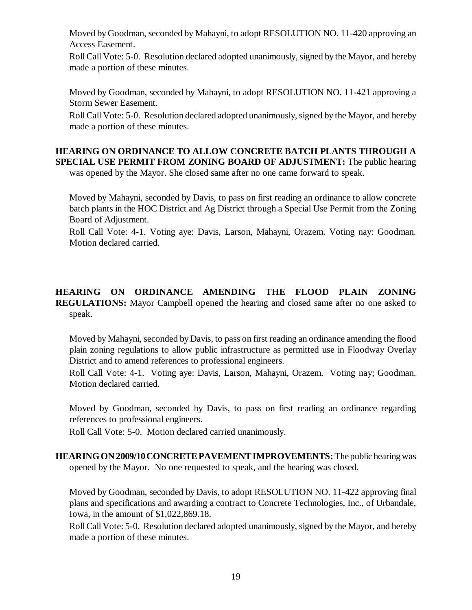Moved by Goodman, seconded by Mahayni, to adopt RESOLUTION NO. 11-420 approving an Access Easement.

Roll Call Vote: 5-0. Resolution declared adopted unanimously, signed by the Mayor, and hereby made a portion of these minutes.

Moved by Goodman, seconded by Mahayni, to adopt RESOLUTION NO. 11-421 approving a Storm Sewer Easement.

Roll Call Vote: 5-0. Resolution declared adopted unanimously, signed by the Mayor, and hereby made a portion of these minutes.

# **HEARING ON ORDINANCE TO ALLOW CONCRETE BATCH PLANTS THROUGH A SPECIAL USE PERMIT FROM ZONING BOARD OF ADJUSTMENT:** The public hearing

was opened by the Mayor. She closed same after no one came forward to speak.

Moved by Mahayni, seconded by Davis, to pass on first reading an ordinance to allow concrete batch plants in the HOC District and Ag District through a Special Use Permit from the Zoning Board of Adjustment.

Roll Call Vote: 4-1. Voting aye: Davis, Larson, Mahayni, Orazem. Voting nay: Goodman. Motion declared carried.

**HEARING ON ORDINANCE AMENDING THE FLOOD PLAIN ZONING REGULATIONS:** Mayor Campbell opened the hearing and closed same after no one asked to speak.

Moved by Mahayni, seconded by Davis, to pass on first reading an ordinance amending the flood plain zoning regulations to allow public infrastructure as permitted use in Floodway Overlay District and to amend references to professional engineers.

Roll Call Vote: 4-1. Voting aye: Davis, Larson, Mahayni, Orazem. Voting nay; Goodman. Motion declared carried.

Moved by Goodman, seconded by Davis, to pass on first reading an ordinance regarding references to professional engineers.

Roll Call Vote: 5-0. Motion declared carried unanimously.

**HEARING ON 2009/10 CONCRETE PAVEMENT IMPROVEMENTS:** The public hearing was opened by the Mayor. No one requested to speak, and the hearing was closed.

Moved by Goodman, seconded by Davis, to adopt RESOLUTION NO. 11-422 approving final plans and specifications and awarding a contract to Concrete Technologies, Inc., of Urbandale, Iowa, in the amount of \$1,022,869.18.

Roll Call Vote: 5-0. Resolution declared adopted unanimously, signed by the Mayor, and hereby made a portion of these minutes.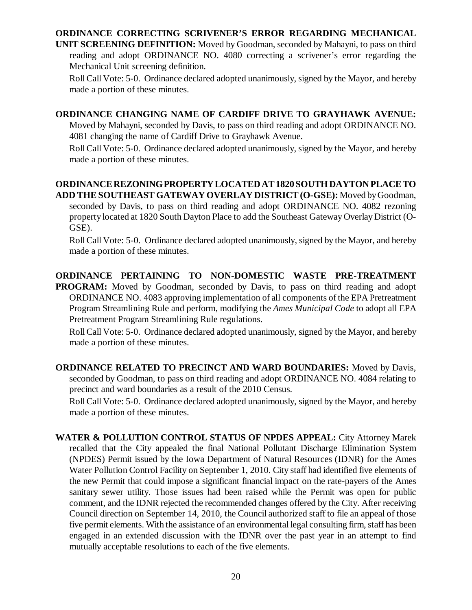#### **ORDINANCE CORRECTING SCRIVENER'S ERROR REGARDING MECHANICAL**

**UNIT SCREENING DEFINITION:** Moved by Goodman, seconded by Mahayni, to pass on third reading and adopt ORDINANCE NO. 4080 correcting a scrivener's error regarding the Mechanical Unit screening definition.

Roll Call Vote: 5-0. Ordinance declared adopted unanimously, signed by the Mayor, and hereby made a portion of these minutes.

## **ORDINANCE CHANGING NAME OF CARDIFF DRIVE TO GRAYHAWK AVENUE:**

Moved by Mahayni, seconded by Davis, to pass on third reading and adopt ORDINANCE NO. 4081 changing the name of Cardiff Drive to Grayhawk Avenue.

Roll Call Vote: 5-0. Ordinance declared adopted unanimously, signed by the Mayor, and hereby made a portion of these minutes.

#### **ORDINANCE REZONING PROPERTY LOCATED AT 1820 SOUTH DAYTON PLACE TO ADD THE SOUTHEAST GATEWAY OVERLAY DISTRICT (O-GSE):** Moved by Goodman,

seconded by Davis, to pass on third reading and adopt ORDINANCE NO. 4082 rezoning property located at 1820 South Dayton Place to add the Southeast Gateway Overlay District (O-GSE).

Roll Call Vote: 5-0. Ordinance declared adopted unanimously, signed by the Mayor, and hereby made a portion of these minutes.

# **ORDINANCE PERTAINING TO NON-DOMESTIC WASTE PRE-TREATMENT**

**PROGRAM:** Moved by Goodman, seconded by Davis, to pass on third reading and adopt ORDINANCE NO. 4083 approving implementation of all components of the EPA Pretreatment Program Streamlining Rule and perform, modifying the *Ames Municipal Code* to adopt all EPA Pretreatment Program Streamlining Rule regulations.

Roll Call Vote: 5-0. Ordinance declared adopted unanimously, signed by the Mayor, and hereby made a portion of these minutes.

**ORDINANCE RELATED TO PRECINCT AND WARD BOUNDARIES:** Moved by Davis, seconded by Goodman, to pass on third reading and adopt ORDINANCE NO. 4084 relating to precinct and ward boundaries as a result of the 2010 Census.

Roll Call Vote: 5-0. Ordinance declared adopted unanimously, signed by the Mayor, and hereby made a portion of these minutes.

**WATER & POLLUTION CONTROL STATUS OF NPDES APPEAL:** City Attorney Marek recalled that the City appealed the final National Pollutant Discharge Elimination System (NPDES) Permit issued by the Iowa Department of Natural Resources (IDNR) for the Ames Water Pollution Control Facility on September 1, 2010. City staff had identified five elements of the new Permit that could impose a significant financial impact on the rate-payers of the Ames sanitary sewer utility. Those issues had been raised while the Permit was open for public comment, and the IDNR rejected the recommended changes offered by the City. After receiving Council direction on September 14, 2010, the Council authorized staff to file an appeal of those five permit elements. With the assistance of an environmental legal consulting firm, staff has been engaged in an extended discussion with the IDNR over the past year in an attempt to find mutually acceptable resolutions to each of the five elements.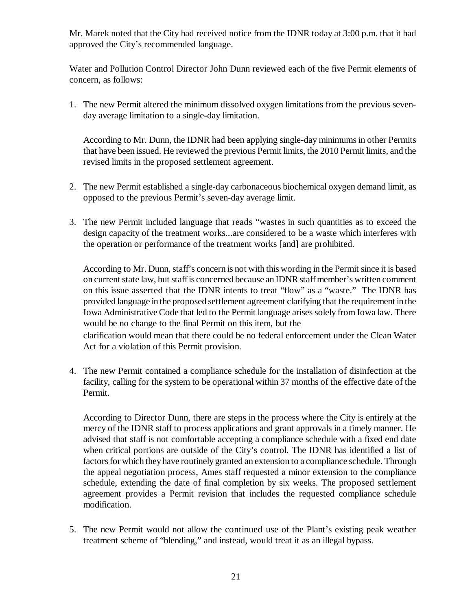Mr. Marek noted that the City had received notice from the IDNR today at 3:00 p.m. that it had approved the City's recommended language.

Water and Pollution Control Director John Dunn reviewed each of the five Permit elements of concern, as follows:

1. The new Permit altered the minimum dissolved oxygen limitations from the previous sevenday average limitation to a single-day limitation.

According to Mr. Dunn, the IDNR had been applying single-day minimums in other Permits that have been issued. He reviewed the previous Permit limits, the 2010 Permit limits, and the revised limits in the proposed settlement agreement.

- 2. The new Permit established a single-day carbonaceous biochemical oxygen demand limit, as opposed to the previous Permit's seven-day average limit.
- 3. The new Permit included language that reads "wastes in such quantities as to exceed the design capacity of the treatment works...are considered to be a waste which interferes with the operation or performance of the treatment works [and] are prohibited.

According to Mr. Dunn, staff's concern is not with this wording in the Permit since it is based on current state law, but staff is concerned because an IDNR staff member's written comment on this issue asserted that the IDNR intents to treat "flow" as a "waste." The IDNR has provided language in the proposed settlement agreement clarifying that the requirement in the Iowa Administrative Code that led to the Permit language arises solely from Iowa law. There would be no change to the final Permit on this item, but the clarification would mean that there could be no federal enforcement under the Clean Water

Act for a violation of this Permit provision.

4. The new Permit contained a compliance schedule for the installation of disinfection at the facility, calling for the system to be operational within 37 months of the effective date of the Permit.

According to Director Dunn, there are steps in the process where the City is entirely at the mercy of the IDNR staff to process applications and grant approvals in a timely manner. He advised that staff is not comfortable accepting a compliance schedule with a fixed end date when critical portions are outside of the City's control. The IDNR has identified a list of factors for which they have routinely granted an extension to a compliance schedule. Through the appeal negotiation process, Ames staff requested a minor extension to the compliance schedule, extending the date of final completion by six weeks. The proposed settlement agreement provides a Permit revision that includes the requested compliance schedule modification.

5. The new Permit would not allow the continued use of the Plant's existing peak weather treatment scheme of "blending," and instead, would treat it as an illegal bypass.